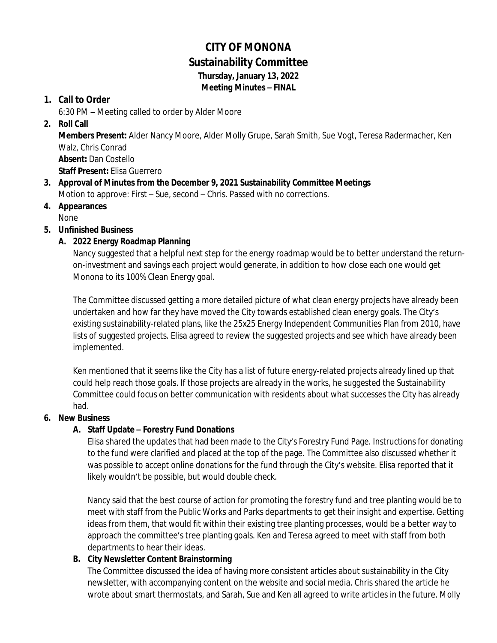# **CITY OF MONONA Sustainability Committee Thursday, January 13, 2022**

*Meeting Minutes – FINAL*

### **1. Call to Order**

6:30 PM – Meeting called to order by Alder Moore

### **2. Roll Call**

**Members Present:** Alder Nancy Moore, Alder Molly Grupe, Sarah Smith, Sue Vogt, Teresa Radermacher, Ken Walz, Chris Conrad

**Absent:** Dan Costello

**Staff Present:** Elisa Guerrero

- **3. Approval of Minutes from the December 9, 2021 Sustainability Committee Meetings** Motion to approve: First – Sue, second – Chris. Passed with no corrections.
- **4. Appearances** None

# **5. Unfinished Business**

### **A. 2022 Energy Roadmap Planning**

Nancy suggested that a helpful next step for the energy roadmap would be to better understand the returnon-investment and savings each project would generate, in addition to how close each one would get Monona to its 100% Clean Energy goal.

The Committee discussed getting a more detailed picture of what clean energy projects have already been undertaken and how far they have moved the City towards established clean energy goals. The City's existing sustainability-related plans, like the 25x25 Energy Independent Communities Plan from 2010, have lists of suggested projects. Elisa agreed to review the suggested projects and see which have already been implemented.

Ken mentioned that it seems like the City has a list of future energy-related projects already lined up that could help reach those goals. If those projects are already in the works, he suggested the Sustainability Committee could focus on better communication with residents about what successes the City has already had.

#### **6. New Business**

#### **A. Staff Update – Forestry Fund Donations**

Elisa shared the updates that had been made to the City's Forestry Fund Page. Instructions for donating to the fund were clarified and placed at the top of the page. The Committee also discussed whether it was possible to accept online donations for the fund through the City's website. Elisa reported that it likely wouldn't be possible, but would double check.

Nancy said that the best course of action for promoting the forestry fund and tree planting would be to meet with staff from the Public Works and Parks departments to get their insight and expertise. Getting ideas from them, that would fit within their existing tree planting processes, would be a better way to approach the committee's tree planting goals. Ken and Teresa agreed to meet with staff from both departments to hear their ideas.

#### **B. City Newsletter Content Brainstorming**

The Committee discussed the idea of having more consistent articles about sustainability in the City newsletter, with accompanying content on the website and social media. Chris shared the article he wrote about smart thermostats, and Sarah, Sue and Ken all agreed to write articles in the future. Molly